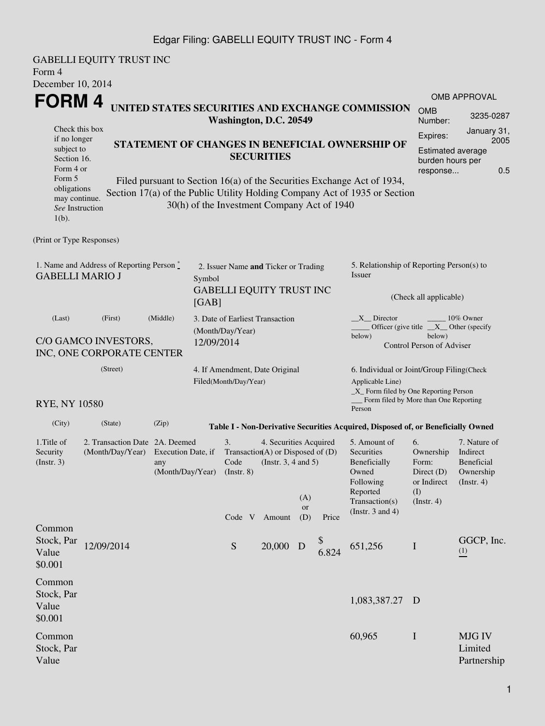### Edgar Filing: GABELLI EQUITY TRUST INC - Form 4

GABELLI EQUITY TRUST INC Form 4 December 10, 2014 **FORM 4** Check this box if no longer subject to Section 16. Form 4 or Form 5 obligations may continue. *See* Instruction 1(b). **UNITED STATES SECURITIES AND EXCHANGE COMMISSION Washington, D.C. 20549 STATEMENT OF CHANGES IN BENEFICIAL OWNERSHIP OF SECURITIES** Filed pursuant to Section 16(a) of the Securities Exchange Act of 1934, Section 17(a) of the Public Utility Holding Company Act of 1935 or Section 30(h) of the Investment Company Act of 1940 OMB APPROVAL OMB Number: 3235-0287 Expires: January 31, 2005 Estimated average burden hours per response... 0.5 (Print or Type Responses) 1. Name and Address of Reporting Person  $\stackrel{*}{\mathbb{Z}}$ GABELLI MARIO J 2. Issuer Name **and** Ticker or Trading Symbol GABELLI EQUITY TRUST INC [GAB] 5. Relationship of Reporting Person(s) to Issuer (Check all applicable)  $X$  Director  $\qquad \qquad \qquad$  10% Owner Officer (give title below) \_\_X\_\_ Other (specify below) Control Person of Adviser (Last) (First) (Middle) C/O GAMCO INVESTORS, INC, ONE CORPORATE CENTER 3. Date of Earliest Transaction (Month/Day/Year) 12/09/2014 (Street) RYE, NY 10580 4. If Amendment, Date Original Filed(Month/Day/Year) 6. Individual or Joint/Group Filing(Check Applicable Line) \_X\_ Form filed by One Reporting Person Form filed by More than One Reporting Person (City) (State) (Zip) **Table I - Non-Derivative Securities Acquired, Disposed of, or Beneficially Owned** 1.Title of Security (Instr. 3) 2. Transaction Date 2A. Deemed (Month/Day/Year) Execution Date, if any (Month/Day/Year) 3. Transaction (A) or Disposed of (D) Code (Instr. 8) 4. Securities Acquired (Instr. 3, 4 and 5) 5. Amount of **Securities** Beneficially Owned Following Reported Transaction(s) (Instr. 3 and 4) 6. Ownership Form: Direct (D) or Indirect (I) (Instr. 4) 7. Nature of Indirect Beneficial Ownership (Instr. 4) Code V Amount  $(A)$ or (D) Price Common Stock, Par Value \$0.001 12/09/2014 S 20,000 D \$  $6.824$  651,256 I GGCP, Inc. (1) Common Stock, Par Value \$0.001 1,083,387.27 D Common Stock, Par Value 60,965 I MJG IV Limited Partnership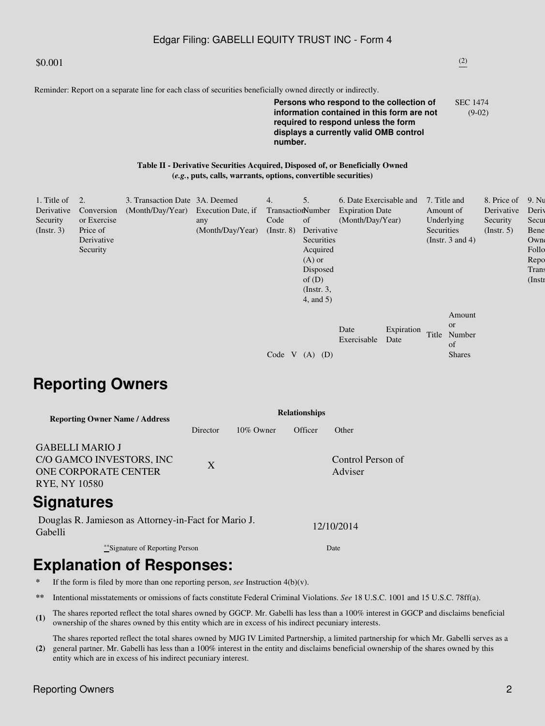## Edgar Filing: GABELLI EQUITY TRUST INC - Form 4

Reminder: Report on a separate line for each class of securities beneficially owned directly or indirectly.

#### **Persons who respond to the collection of information contained in this form are not required to respond unless the form displays a currently valid OMB control number.** SEC 1474 (9-02)

#### **Table II - Derivative Securities Acquired, Disposed of, or Beneficially Owned (***e.g.***, puts, calls, warrants, options, convertible securities)**

| 1. Title of<br>Derivative<br>Security<br>$($ Instr. 3 $)$ | 2.<br>Conversion<br>or Exercise<br>Price of<br>Derivative<br>Security | 3. Transaction Date 3A. Deemed<br>(Month/Day/Year) Execution Date, if | any<br>(Month/Day/Year) | 4.<br>TransactionNumber<br>Code<br>$($ Instr. $8)$ | 5.<br>of<br>Derivative<br>Securities<br>Acquired<br>$(A)$ or<br>Disposed<br>of $(D)$<br>$($ Instr. 3,<br>4, and 5) | 6. Date Exercisable and<br><b>Expiration Date</b><br>(Month/Day/Year) |                    | 7. Title and<br>Amount of<br>Underlying<br>Securities<br>(Instr. $3$ and $4$ ) |                                   | 8. Price of<br>Derivative<br>Security<br>(Insert, 5) | 9. Nu<br>Deriy<br>Secur<br>Bene<br>Owne<br>Follo<br>Repo<br>Trans<br>$($ Instr |
|-----------------------------------------------------------|-----------------------------------------------------------------------|-----------------------------------------------------------------------|-------------------------|----------------------------------------------------|--------------------------------------------------------------------------------------------------------------------|-----------------------------------------------------------------------|--------------------|--------------------------------------------------------------------------------|-----------------------------------|------------------------------------------------------|--------------------------------------------------------------------------------|
|                                                           |                                                                       |                                                                       |                         | Code V                                             | (D)<br>(A)                                                                                                         | Date<br>Exercisable                                                   | Expiration<br>Date | <b>or</b><br>Title<br>of                                                       | Amount<br>Number<br><b>Shares</b> |                                                      |                                                                                |

# **Reporting Owners**

| <b>Reporting Owner Name / Address</b>                                                              | <b>Relationships</b> |              |         |                              |  |  |  |  |
|----------------------------------------------------------------------------------------------------|----------------------|--------------|---------|------------------------------|--|--|--|--|
|                                                                                                    | Director             | $10\%$ Owner | Officer | Other                        |  |  |  |  |
| <b>GABELLI MARIO J</b><br>C/O GAMCO INVESTORS, INC<br>ONE CORPORATE CENTER<br><b>RYE, NY 10580</b> | X                    |              |         | Control Person of<br>Adviser |  |  |  |  |
| <u>Cianaturae</u>                                                                                  |                      |              |         |                              |  |  |  |  |

# **Signatures**

Douglas R. Jamieson as Attorney-in-Fact for Mario J. Gabelli 12/10/2014

\*\*Signature of Reporting Person Date

# **Explanation of Responses:**

- If the form is filed by more than one reporting person, *see* Instruction  $4(b)(v)$ .
- **\*\*** Intentional misstatements or omissions of facts constitute Federal Criminal Violations. *See* 18 U.S.C. 1001 and 15 U.S.C. 78ff(a).
- (1) The shares reported reflect the total shares owned by GGCP. Mr. Gabelli has less than a 100% interest in GGCP and disclaims beneficial symmetric of the shares sumed by this prim which are in groups of his indicate assu ownership of the shares owned by this entity which are in excess of his indirect pecuniary interests.

**(2)** The shares reported reflect the total shares owned by MJG IV Limited Partnership, a limited partnership for which Mr. Gabelli serves as a general partner. Mr. Gabelli has less than a 100% interest in the entity and disclaims beneficial ownership of the shares owned by this entity which are in excess of his indirect pecuniary interest.

## $$0.001$  (2)